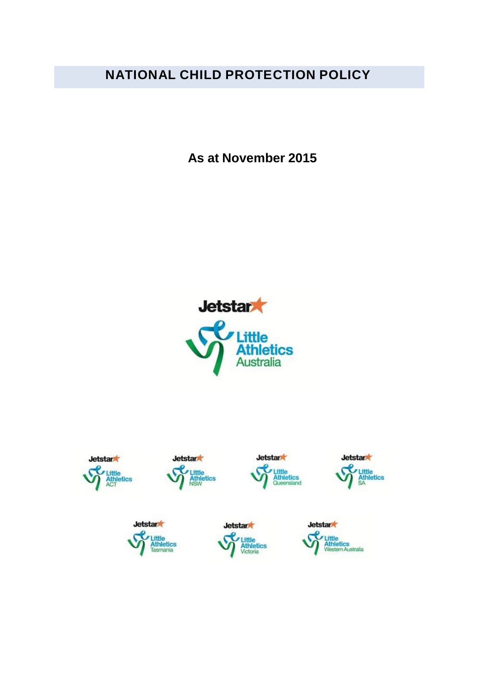# **NATIONAL CHILD PROTECTION POLICY**

**As at November 2015**



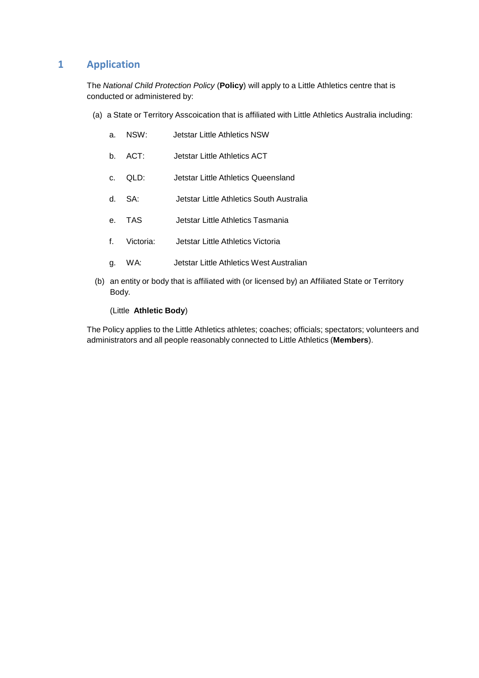# **1 Application**

The *National Child Protection Policy* (**Policy**) will apply to a Little Athletics centre that is conducted or administered by:

(a) a State or Territory Asscoication that is affiliated with Little Athletics Australia including:

| a. | NSW: | <b>Jetstar Little Athletics NSW</b> |  |
|----|------|-------------------------------------|--|
|    |      |                                     |  |

- b. ACT: Jetstar Little Athletics ACT
- c. QLD: Jetstar Little Athletics Queensland
- d. SA: Jetstar Little Athletics South Australia
- e. TAS Jetstar Little Athletics Tasmania
- f. Victoria: Jetstar Little Athletics Victoria
- g. WA: Jetstar Little Athletics West Australian
- (b) an entity or body that is affiliated with (or licensed by) an Affiliated State or Territory Body.

(Little **Athletic Body**)

The Policy applies to the Little Athletics athletes; coaches; officials; spectators; volunteers and administrators and all people reasonably connected to Little Athletics (**Members**).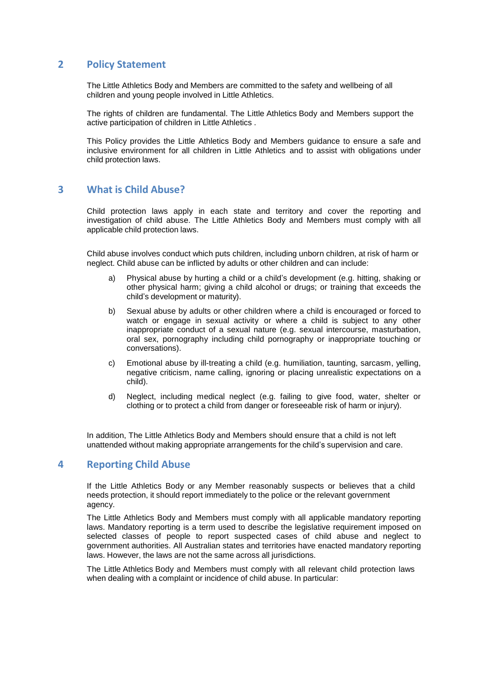## **2 Policy Statement**

The Little Athletics Body and Members are committed to the safety and wellbeing of all children and young people involved in Little Athletics.

The rights of children are fundamental. The Little Athletics Body and Members support the active participation of children in Little Athletics .

This Policy provides the Little Athletics Body and Members guidance to ensure a safe and inclusive environment for all children in Little Athletics and to assist with obligations under child protection laws.

## **3 What is Child Abuse?**

Child protection laws apply in each state and territory and cover the reporting and investigation of child abuse. The Little Athletics Body and Members must comply with all applicable child protection laws.

Child abuse involves conduct which puts children, including unborn children, at risk of harm or neglect. Child abuse can be inflicted by adults or other children and can include:

- a) Physical abuse by hurting a child or a child's development (e.g. hitting, shaking or other physical harm; giving a child alcohol or drugs; or training that exceeds the child's development or maturity).
- b) Sexual abuse by adults or other children where a child is encouraged or forced to watch or engage in sexual activity or where a child is subject to any other inappropriate conduct of a sexual nature (e.g. sexual intercourse, masturbation, oral sex, pornography including child pornography or inappropriate touching or conversations).
- c) Emotional abuse by ill-treating a child (e.g. humiliation, taunting, sarcasm, yelling, negative criticism, name calling, ignoring or placing unrealistic expectations on a child).
- d) Neglect, including medical neglect (e.g. failing to give food, water, shelter or clothing or to protect a child from danger or foreseeable risk of harm or injury).

In addition, The Little Athletics Body and Members should ensure that a child is not left unattended without making appropriate arrangements for the child's supervision and care.

#### **4 Reporting Child Abuse**

If the Little Athletics Body or any Member reasonably suspects or believes that a child needs protection, it should report immediately to the police or the relevant government agency.

The Little Athletics Body and Members must comply with all applicable mandatory reporting laws. Mandatory reporting is a term used to describe the legislative requirement imposed on selected classes of people to report suspected cases of child abuse and neglect to government authorities. All Australian states and territories have enacted mandatory reporting laws. However, the laws are not the same across all jurisdictions.

The Little Athletics Body and Members must comply with all relevant child protection laws when dealing with a complaint or incidence of child abuse. In particular: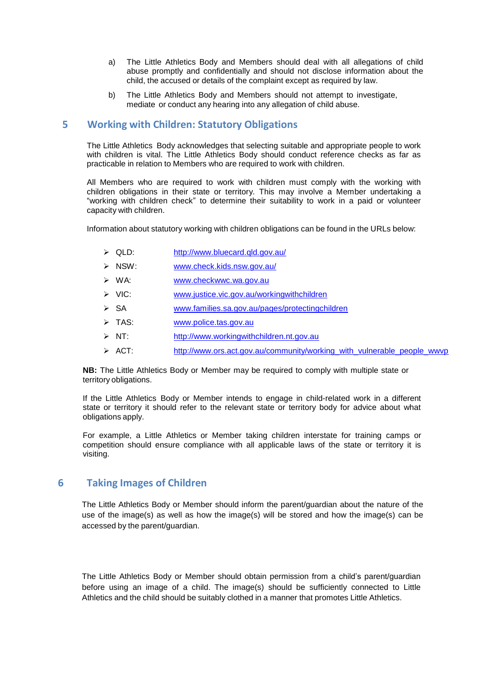- a) The Little Athletics Body and Members should deal with all allegations of child abuse promptly and confidentially and should not disclose information about the child, the accused or details of the complaint except as required by law.
- b) The Little Athletics Body and Members should not attempt to investigate, mediate or conduct any hearing into any allegation of child abuse.

## **5 Working with Children: Statutory Obligations**

The Little Athletics Body acknowledges that selecting suitable and appropriate people to work with children is vital. The Little Athletics Body should conduct reference checks as far as practicable in relation to Members who are required to work with children.

All Members who are required to work with children must comply with the working with children obligations in their state or territory. This may involve a Member undertaking a "working with children check" to determine their suitability to work in a paid or volunteer capacity with children.

Information about statutory working with children obligations can be found in the URLs below:

- QLD: <http://www.bluecard.qld.gov.au/>
- NSW: [www.check.kids.nsw.gov.au/](http://www.check.kids.nsw.gov.au/)
- WA: [www.checkwwc.wa.gov.au](http://www.checkwwc.wa.gov.au/)
- ▶ VIC: [www.justice.vic.gov.au/workingwithchildren](http://www.justice.vic.gov.au/workingwithchildren)
- SA [www.families.sa.gov.au/pages/protectingchildren](http://www.families.sa.gov.au/pages/protectingchildren)
- > TAS: [www.police.tas.gov.au](http://www.police.tas.gov.au/)
- $> NT$ : [http://www.workingwithchildren.nt.gov.au](http://www.workingwithchildren.nt.gov.au/)
- $\triangleright$  ACT: [http://www.ors.act.gov.au/community/working\\_with\\_vulnerable\\_people\\_wwvp](http://www.legislation.act.gov.au/isysquery/search.asp)

**NB:** The Little Athletics Body or Member may be required to comply with multiple state or territory obligations.

If the Little Athletics Body or Member intends to engage in child-related work in a different state or territory it should refer to the relevant state or territory body for advice about what obligations apply.

For example, a Little Athletics or Member taking children interstate for training camps or competition should ensure compliance with all applicable laws of the state or territory it is visiting.

#### **6 Taking Images of Children**

The Little Athletics Body or Member should inform the parent/guardian about the nature of the use of the image(s) as well as how the [image\(s\)](http://www.aflcommunityclub.com.au/) will be [stored](http://www.afl.com.au/privacy) and how the image(s) can be accessed by the parent/guardian.

The Little Athletics Body or Member should obtain permission from a child's parent/guardian before using an image of a child. The image(s) should be sufficiently connected to Little Athletics and the child should be suitably clothed in a manner that promotes Little Athletics.